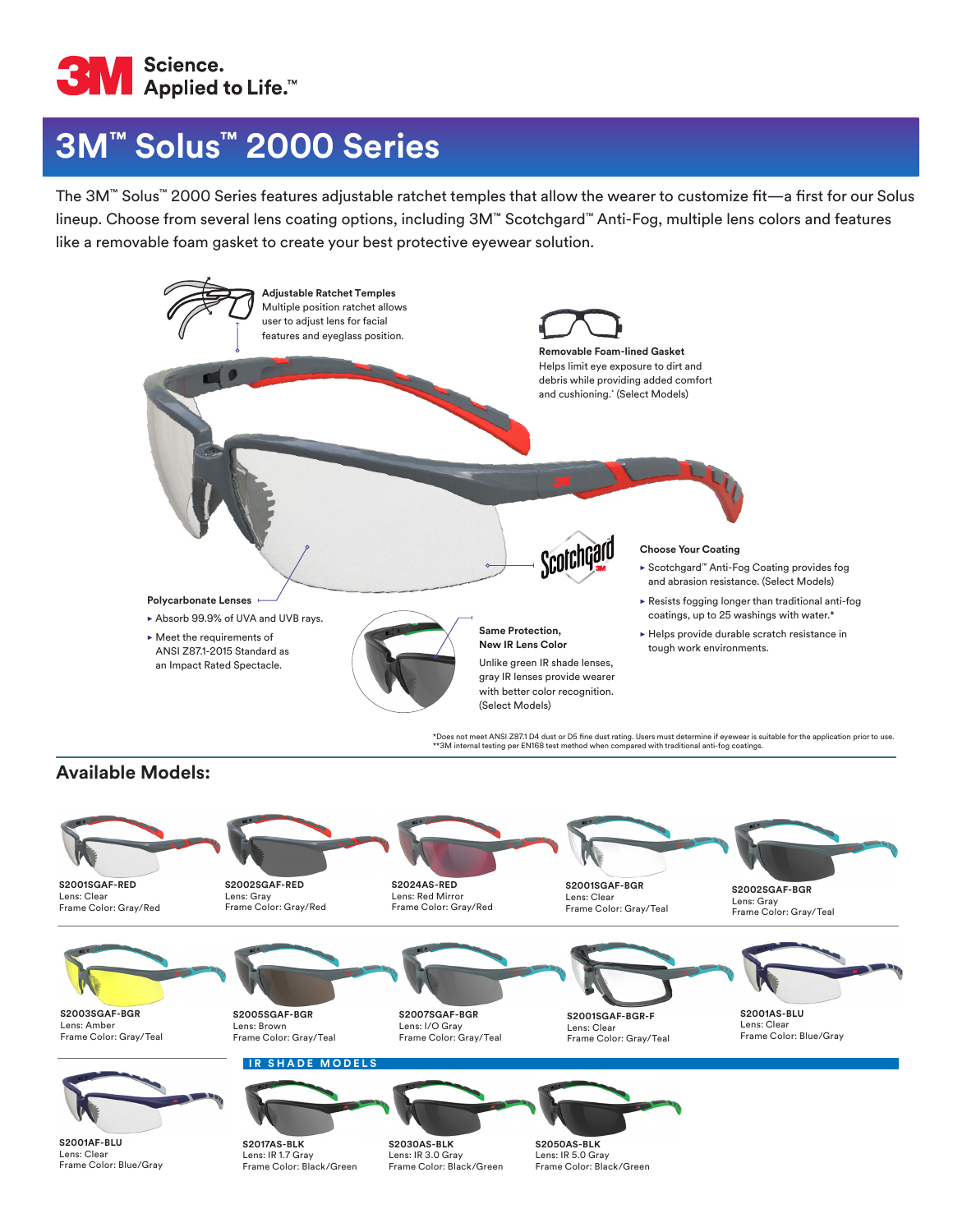

# **3M™ Solus™ 2000 Series**

The 3M™ Solus™ 2000 Series features adjustable ratchet temples that allow the wearer to customize fit—a first for our Solus lineup. Choose from several lens coating options, including 3M™ Scotchgard™ Anti-Fog, multiple lens colors and features like a removable foam gasket to create your best protective eyewear solution.



### **Available Models:**